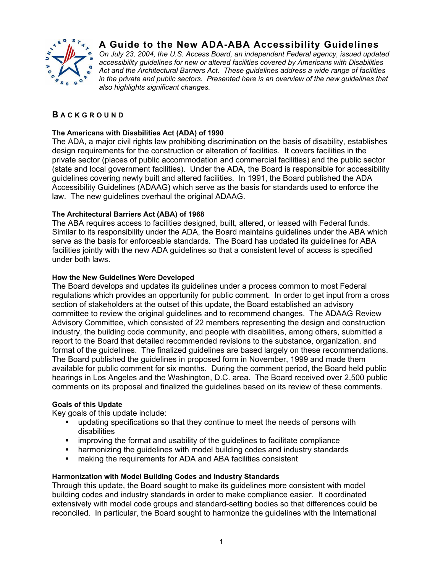

# **A Guide to the New ADA-ABA Accessibility Guidelines**

*On July 23, 2004, the U.S. Access Board, an independent Federal agency, issued updated accessibility guidelines for new or altered facilities covered by Americans with Disabilities Act and the Architectural Barriers Act. These guidelines address a wide range of facilities in the private and public sectors. Presented here is an overview of the new guidelines that also highlights significant changes.* 

# **B ACK G R OUND**

#### **The Americans with Disabilities Act (ADA) of 1990**

The ADA, a major civil rights law prohibiting discrimination on the basis of disability, establishes design requirements for the construction or alteration of facilities. It covers facilities in the private sector (places of public accommodation and commercial facilities) and the public sector (state and local government facilities). Under the ADA, the Board is responsible for accessibility guidelines covering newly built and altered facilities. In 1991, the Board published the ADA Accessibility Guidelines (ADAAG) which serve as the basis for standards used to enforce the law. The new guidelines overhaul the original ADAAG.

## **The Architectural Barriers Act (ABA) of 1968**

The ABA requires access to facilities designed, built, altered, or leased with Federal funds. Similar to its responsibility under the ADA, the Board maintains guidelines under the ABA which serve as the basis for enforceable standards. The Board has updated its guidelines for ABA facilities jointly with the new ADA guidelines so that a consistent level of access is specified under both laws.

#### **How the New Guidelines Were Developed**

The Board develops and updates its guidelines under a process common to most Federal regulations which provides an opportunity for public comment. In order to get input from a cross section of stakeholders at the outset of this update, the Board established an advisory committee to review the original guidelines and to recommend changes. The ADAAG Review Advisory Committee, which consisted of 22 members representing the design and construction industry, the building code community, and people with disabilities, among others, submitted a report to the Board that detailed recommended revisions to the substance, organization, and format of the guidelines. The finalized guidelines are based largely on these recommendations. The Board published the guidelines in proposed form in November, 1999 and made them available for public comment for six months. During the comment period, the Board held public hearings in Los Angeles and the Washington, D.C. area. The Board received over 2,500 public comments on its proposal and finalized the guidelines based on its review of these comments.

#### **Goals of this Update**

Key goals of this update include:

- updating specifications so that they continue to meet the needs of persons with disabilities
- improving the format and usability of the guidelines to facilitate compliance
- harmonizing the guidelines with model building codes and industry standards
- **EXECT** making the requirements for ADA and ABA facilities consistent

#### **Harmonization with Model Building Codes and Industry Standards**

Through this update, the Board sought to make its guidelines more consistent with model building codes and industry standards in order to make compliance easier. It coordinated extensively with model code groups and standard-setting bodies so that differences could be reconciled. In particular, the Board sought to harmonize the guidelines with the International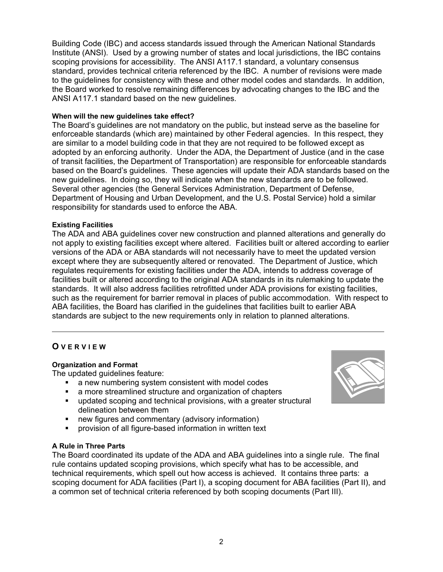Building Code (IBC) and access standards issued through the American National Standards Institute (ANSI). Used by a growing number of states and local jurisdictions, the IBC contains scoping provisions for accessibility. The ANSI A117.1 standard, a voluntary consensus standard, provides technical criteria referenced by the IBC. A number of revisions were made to the guidelines for consistency with these and other model codes and standards. In addition, the Board worked to resolve remaining differences by advocating changes to the IBC and the ANSI A117.1 standard based on the new guidelines.

#### **When will the new guidelines take effect?**

The Board's guidelines are not mandatory on the public, but instead serve as the baseline for enforceable standards (which are) maintained by other Federal agencies. In this respect, they are similar to a model building code in that they are not required to be followed except as adopted by an enforcing authority. Under the ADA, the Department of Justice (and in the case of transit facilities, the Department of Transportation) are responsible for enforceable standards based on the Board's guidelines. These agencies will update their ADA standards based on the new guidelines. In doing so, they will indicate when the new standards are to be followed. Several other agencies (the General Services Administration, Department of Defense, Department of Housing and Urban Development, and the U.S. Postal Service) hold a similar responsibility for standards used to enforce the ABA.

# **Existing Facilities**

The ADA and ABA guidelines cover new construction and planned alterations and generally do not apply to existing facilities except where altered. Facilities built or altered according to earlier versions of the ADA or ABA standards will not necessarily have to meet the updated version except where they are subsequently altered or renovated. The Department of Justice, which regulates requirements for existing facilities under the ADA, intends to address coverage of facilities built or altered according to the original ADA standards in its rulemaking to update the standards. It will also address facilities retrofitted under ADA provisions for existing facilities, such as the requirement for barrier removal in places of public accommodation. With respect to ABA facilities, the Board has clarified in the guidelines that facilities built to earlier ABA standards are subject to the new requirements only in relation to planned alterations.

# **O VER V I E W**

#### **Organization and Format**

The updated guidelines feature:

- a new numbering system consistent with model codes
- a more streamlined structure and organization of chapters
- updated scoping and technical provisions, with a greater structural delineation between them
- **new figures and commentary (advisory information)**
- provision of all figure-based information in written text

#### **A Rule in Three Parts**

The Board coordinated its update of the ADA and ABA guidelines into a single rule. The final rule contains updated scoping provisions, which specify what has to be accessible, and technical requirements, which spell out how access is achieved. It contains three parts: a scoping document for ADA facilities (Part I), a scoping document for ABA facilities (Part II), and a common set of technical criteria referenced by both scoping documents (Part III).

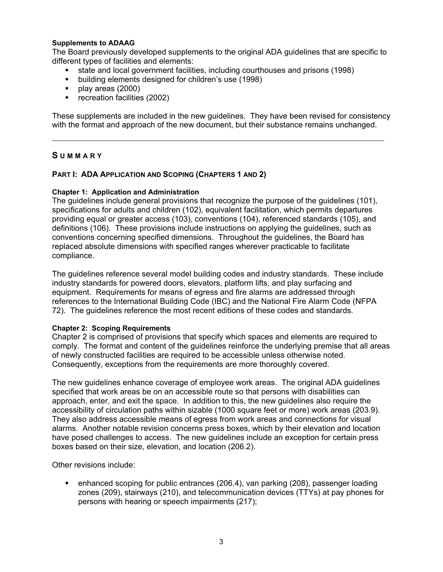#### **Supplements to ADAAG**

The Board previously developed supplements to the original ADA guidelines that are specific to different types of facilities and elements:

- state and local government facilities, including courthouses and prisons (1998)
- **•** building elements designed for children's use (1998)
- $\blacksquare$  play areas (2000)
- **•** recreation facilities (2002)

These supplements are included in the new guidelines. They have been revised for consistency with the format and approach of the new document, but their substance remains unchanged.

## **S UMMARY**

# **PART I: ADA APPLICATION AND SCOPING (CHAPTERS 1 AND 2)**

## **Chapter 1: Application and Administration**

The guidelines include general provisions that recognize the purpose of the guidelines (101), specifications for adults and children (102), equivalent facilitation, which permits departures providing equal or greater access (103), conventions (104), referenced standards (105), and definitions (106). These provisions include instructions on applying the guidelines, such as conventions concerning specified dimensions. Throughout the guidelines, the Board has replaced absolute dimensions with specified ranges wherever practicable to facilitate compliance.

The guidelines reference several model building codes and industry standards. These include industry standards for powered doors, elevators, platform lifts, and play surfacing and equipment. Requirements for means of egress and fire alarms are addressed through references to the International Building Code (IBC) and the National Fire Alarm Code (NFPA 72). The guidelines reference the most recent editions of these codes and standards.

#### **Chapter 2: Scoping Requirements**

Chapter 2 is comprised of provisions that specify which spaces and elements are required to comply. The format and content of the guidelines reinforce the underlying premise that all areas of newly constructed facilities are required to be accessible unless otherwise noted. Consequently, exceptions from the requirements are more thoroughly covered.

The new guidelines enhance coverage of employee work areas. The original ADA guidelines specified that work areas be on an accessible route so that persons with disabilities can approach, enter, and exit the space. In addition to this, the new guidelines also require the accessibility of circulation paths within sizable (1000 square feet or more) work areas (203.9). They also address accessible means of egress from work areas and connections for visual alarms. Another notable revision concerns press boxes, which by their elevation and location have posed challenges to access. The new guidelines include an exception for certain press boxes based on their size, elevation, and location (206.2).

Other revisions include:

 enhanced scoping for public entrances (206.4), van parking (208), passenger loading zones (209), stairways (210), and telecommunication devices (TTYs) at pay phones for persons with hearing or speech impairments (217);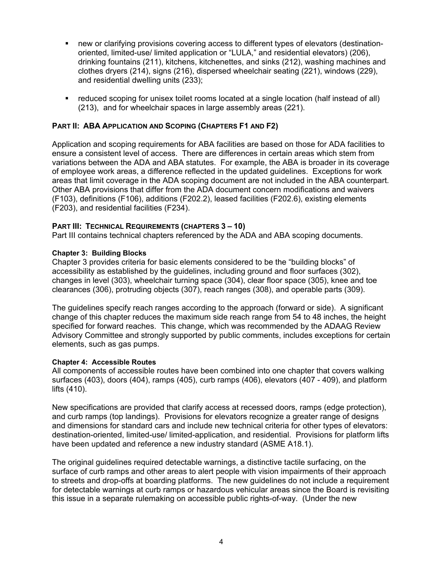- new or clarifying provisions covering access to different types of elevators (destinationoriented, limited-use/ limited application or "LULA," and residential elevators) (206), drinking fountains (211), kitchens, kitchenettes, and sinks (212), washing machines and clothes dryers (214), signs (216), dispersed wheelchair seating (221), windows (229), and residential dwelling units (233);
- reduced scoping for unisex toilet rooms located at a single location (half instead of all) (213), and for wheelchair spaces in large assembly areas (221).

## **PART II: ABA APPLICATION AND SCOPING (CHAPTERS F1 AND F2)**

Application and scoping requirements for ABA facilities are based on those for ADA facilities to ensure a consistent level of access. There are differences in certain areas which stem from variations between the ADA and ABA statutes. For example, the ABA is broader in its coverage of employee work areas, a difference reflected in the updated guidelines. Exceptions for work areas that limit coverage in the ADA scoping document are not included in the ABA counterpart. Other ABA provisions that differ from the ADA document concern modifications and waivers (F103), definitions (F106), additions (F202.2), leased facilities (F202.6), existing elements (F203), and residential facilities (F234).

#### **PART III: TECHNICAL REQUIREMENTS (CHAPTERS 3 – 10)**

Part III contains technical chapters referenced by the ADA and ABA scoping documents.

#### **Chapter 3: Building Blocks**

Chapter 3 provides criteria for basic elements considered to be the "building blocks" of accessibility as established by the guidelines, including ground and floor surfaces (302), changes in level (303), wheelchair turning space (304), clear floor space (305), knee and toe clearances (306), protruding objects (307), reach ranges (308), and operable parts (309).

The guidelines specify reach ranges according to the approach (forward or side). A significant change of this chapter reduces the maximum side reach range from 54 to 48 inches, the height specified for forward reaches. This change, which was recommended by the ADAAG Review Advisory Committee and strongly supported by public comments, includes exceptions for certain elements, such as gas pumps.

#### **Chapter 4: Accessible Routes**

All components of accessible routes have been combined into one chapter that covers walking surfaces (403), doors (404), ramps (405), curb ramps (406), elevators (407 - 409), and platform lifts (410).

New specifications are provided that clarify access at recessed doors, ramps (edge protection), and curb ramps (top landings). Provisions for elevators recognize a greater range of designs and dimensions for standard cars and include new technical criteria for other types of elevators: destination-oriented, limited-use/ limited-application, and residential. Provisions for platform lifts have been updated and reference a new industry standard (ASME A18.1).

The original guidelines required detectable warnings, a distinctive tactile surfacing, on the surface of curb ramps and other areas to alert people with vision impairments of their approach to streets and drop-offs at boarding platforms. The new guidelines do not include a requirement for detectable warnings at curb ramps or hazardous vehicular areas since the Board is revisiting this issue in a separate rulemaking on accessible public rights-of-way. (Under the new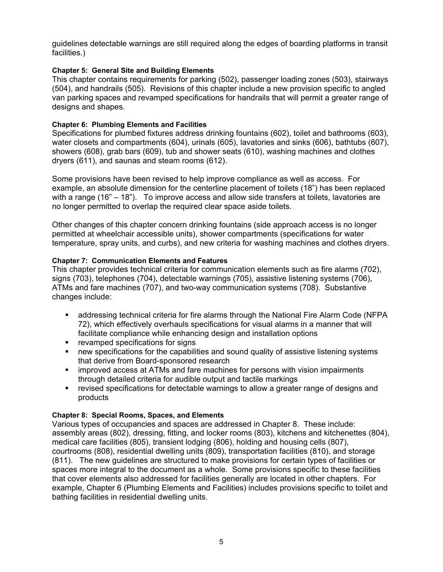guidelines detectable warnings are still required along the edges of boarding platforms in transit facilities.)

# **Chapter 5: General Site and Building Elements**

This chapter contains requirements for parking (502), passenger loading zones (503), stairways (504), and handrails (505). Revisions of this chapter include a new provision specific to angled van parking spaces and revamped specifications for handrails that will permit a greater range of designs and shapes.

## **Chapter 6: Plumbing Elements and Facilities**

Specifications for plumbed fixtures address drinking fountains (602), toilet and bathrooms (603), water closets and compartments (604), urinals (605), lavatories and sinks (606), bathtubs (607), showers (608), grab bars (609), tub and shower seats (610), washing machines and clothes dryers (611), and saunas and steam rooms (612).

Some provisions have been revised to help improve compliance as well as access. For example, an absolute dimension for the centerline placement of toilets (18") has been replaced with a range (16" – 18"). To improve access and allow side transfers at toilets, lavatories are no longer permitted to overlap the required clear space aside toilets.

Other changes of this chapter concern drinking fountains (side approach access is no longer permitted at wheelchair accessible units), shower compartments (specifications for water temperature, spray units, and curbs), and new criteria for washing machines and clothes dryers.

## **Chapter 7: Communication Elements and Features**

This chapter provides technical criteria for communication elements such as fire alarms (702), signs (703), telephones (704), detectable warnings (705), assistive listening systems (706), ATMs and fare machines (707), and two-way communication systems (708). Substantive changes include:

- addressing technical criteria for fire alarms through the National Fire Alarm Code (NFPA 72), which effectively overhauls specifications for visual alarms in a manner that will facilitate compliance while enhancing design and installation options
- **•** revamped specifications for signs
- new specifications for the capabilities and sound quality of assistive listening systems that derive from Board-sponsored research
- **EXED improved access at ATMs and fare machines for persons with vision impairments** through detailed criteria for audible output and tactile markings
- revised specifications for detectable warnings to allow a greater range of designs and products

#### **Chapter 8: Special Rooms, Spaces, and Elements**

Various types of occupancies and spaces are addressed in Chapter 8. These include: assembly areas (802), dressing, fitting, and locker rooms (803), kitchens and kitchenettes (804), medical care facilities (805), transient lodging (806), holding and housing cells (807), courtrooms (808), residential dwelling units (809), transportation facilities (810), and storage (811). The new guidelines are structured to make provisions for certain types of facilities or spaces more integral to the document as a whole. Some provisions specific to these facilities that cover elements also addressed for facilities generally are located in other chapters. For example, Chapter 6 (Plumbing Elements and Facilities) includes provisions specific to toilet and bathing facilities in residential dwelling units.